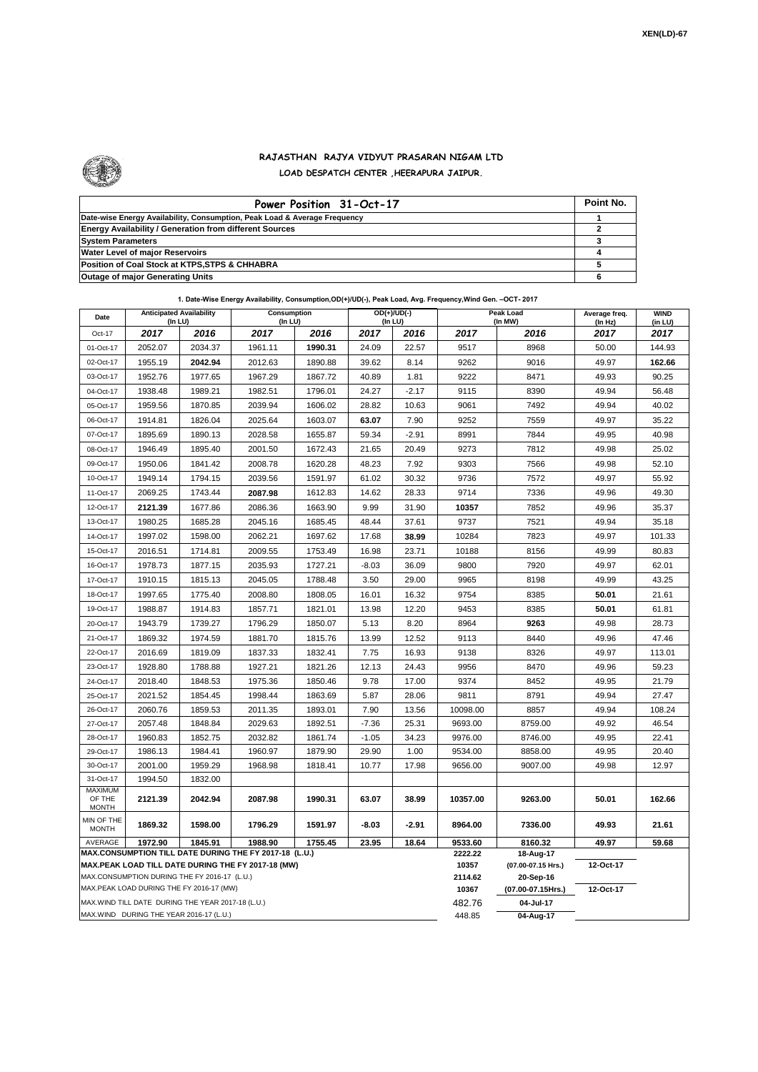

## **RAJASTHAN RAJYA VIDYUT PRASARAN NIGAM LTD LOAD DESPATCH CENTER ,HEERAPURA JAIPUR.**

| Power Position 31-Oct-17                                                  | Point No. |
|---------------------------------------------------------------------------|-----------|
| Date-wise Energy Availability, Consumption, Peak Load & Average Frequency |           |
| <b>Energy Availability / Generation from different Sources</b>            |           |
| <b>System Parameters</b>                                                  |           |
| <b>Water Level of major Reservoirs</b>                                    |           |
| Position of Coal Stock at KTPS, STPS & CHHABRA                            |           |
| <b>Outage of major Generating Units</b>                                   |           |

**1. Date-Wise Energy Availability, Consumption,OD(+)/UD(-), Peak Load, Avg. Frequency,Wind Gen. –OCT- 2017**

| Date                                                                                                         |                                                    | <b>Anticipated Availability</b><br>Consumption<br>(In LU)<br>(In LU) |         | $OD(+)/UD(-)$<br>(In LU) |         |         |                  | Peak Load<br>(In MW)            | Average freq.<br>(In Hz) | <b>WIND</b><br>(in LU) |  |
|--------------------------------------------------------------------------------------------------------------|----------------------------------------------------|----------------------------------------------------------------------|---------|--------------------------|---------|---------|------------------|---------------------------------|--------------------------|------------------------|--|
| Oct-17                                                                                                       | 2017                                               | 2016                                                                 | 2017    | 2016                     | 2017    | 2016    | 2017             | 2016                            | 2017                     | 2017                   |  |
| 01-Oct-17                                                                                                    | 2052.07                                            | 2034.37                                                              | 1961.11 | 1990.31                  | 24.09   | 22.57   | 9517             | 8968                            | 50.00                    | 144.93                 |  |
| 02-Oct-17                                                                                                    | 1955.19                                            | 2042.94                                                              | 2012.63 | 1890.88                  | 39.62   | 8.14    | 9262             | 9016                            | 49.97                    | 162.66                 |  |
| 03-Oct-17                                                                                                    | 1952.76                                            | 1977.65                                                              | 1967.29 | 1867.72                  | 40.89   | 1.81    | 9222             | 8471                            | 49.93                    | 90.25                  |  |
| 04-Oct-17                                                                                                    | 1938.48                                            | 1989.21                                                              | 1982.51 | 1796.01                  | 24.27   | $-2.17$ | 9115             | 8390                            | 49.94                    | 56.48                  |  |
| 05-Oct-17                                                                                                    | 1959.56                                            | 1870.85                                                              | 2039.94 | 1606.02                  | 28.82   | 10.63   | 9061             | 7492                            | 49.94                    | 40.02                  |  |
| 06-Oct-17                                                                                                    | 1914.81                                            | 1826.04                                                              | 2025.64 | 1603.07                  | 63.07   | 7.90    | 9252             | 7559                            | 49.97                    | 35.22                  |  |
| 07-Oct-17                                                                                                    | 1895.69                                            | 1890.13                                                              | 2028.58 | 1655.87                  | 59.34   | $-2.91$ | 8991             | 7844                            | 49.95                    | 40.98                  |  |
| 08-Oct-17                                                                                                    | 1946.49                                            | 1895.40                                                              | 2001.50 | 1672.43                  | 21.65   | 20.49   | 9273             | 7812                            | 49.98                    | 25.02                  |  |
| 09-Oct-17                                                                                                    | 1950.06                                            | 1841.42                                                              | 2008.78 | 1620.28                  | 48.23   | 7.92    | 9303             | 7566                            | 49.98                    | 52.10                  |  |
| 10-Oct-17                                                                                                    | 1949.14                                            | 1794.15                                                              | 2039.56 | 1591.97                  | 61.02   | 30.32   | 9736             | 7572                            | 49.97                    | 55.92                  |  |
| 11-Oct-17                                                                                                    | 2069.25                                            | 1743.44                                                              | 2087.98 | 1612.83                  | 14.62   | 28.33   | 9714             | 7336                            | 49.96                    | 49.30                  |  |
| 12-Oct-17                                                                                                    | 2121.39                                            | 1677.86                                                              | 2086.36 | 1663.90                  | 9.99    | 31.90   | 10357            | 7852                            | 49.96                    | 35.37                  |  |
| 13-Oct-17                                                                                                    | 1980.25                                            | 1685.28                                                              | 2045.16 | 1685.45                  | 48.44   | 37.61   | 9737             | 7521                            | 49.94                    | 35.18                  |  |
| 14-Oct-17                                                                                                    | 1997.02                                            | 1598.00                                                              | 2062.21 | 1697.62                  | 17.68   | 38.99   | 10284            | 7823                            | 49.97                    | 101.33                 |  |
| 15-Oct-17                                                                                                    | 2016.51                                            | 1714.81                                                              | 2009.55 | 1753.49                  | 16.98   | 23.71   | 10188            | 8156                            | 49.99                    | 80.83                  |  |
| 16-Oct-17                                                                                                    | 1978.73                                            | 1877.15                                                              | 2035.93 | 1727.21                  | $-8.03$ | 36.09   | 9800             | 7920                            | 49.97                    | 62.01                  |  |
| 17-Oct-17                                                                                                    | 1910.15                                            | 1815.13                                                              | 2045.05 | 1788.48                  | 3.50    | 29.00   | 9965             | 8198                            | 49.99                    | 43.25                  |  |
| 18-Oct-17                                                                                                    | 1997.65                                            | 1775.40                                                              | 2008.80 | 1808.05                  | 16.01   | 16.32   | 9754             | 8385                            | 50.01                    | 21.61                  |  |
| 19-Oct-17                                                                                                    | 1988.87                                            | 1914.83                                                              | 1857.71 | 1821.01                  | 13.98   | 12.20   | 9453             | 8385                            | 50.01                    | 61.81                  |  |
| 20-Oct-17                                                                                                    | 1943.79                                            | 1739.27                                                              | 1796.29 | 1850.07                  | 5.13    | 8.20    | 8964             | 9263                            | 49.98                    | 28.73                  |  |
| 21-Oct-17                                                                                                    | 1869.32                                            | 1974.59                                                              | 1881.70 | 1815.76                  | 13.99   | 12.52   | 9113             | 8440                            | 49.96                    | 47.46                  |  |
| 22-Oct-17                                                                                                    | 2016.69                                            | 1819.09                                                              | 1837.33 | 1832.41                  | 7.75    | 16.93   | 9138             | 8326                            | 49.97                    | 113.01                 |  |
| 23-Oct-17                                                                                                    | 1928.80                                            | 1788.88                                                              | 1927.21 | 1821.26                  | 12.13   | 24.43   | 9956             | 8470                            | 49.96                    | 59.23                  |  |
| 24-Oct-17                                                                                                    | 2018.40                                            | 1848.53                                                              | 1975.36 | 1850.46                  | 9.78    | 17.00   | 9374             | 8452                            | 49.95                    | 21.79                  |  |
| 25-Oct-17                                                                                                    | 2021.52                                            | 1854.45                                                              | 1998.44 | 1863.69                  | 5.87    | 28.06   | 9811             | 8791                            | 49.94                    | 27.47                  |  |
| 26-Oct-17                                                                                                    | 2060.76                                            | 1859.53                                                              | 2011.35 | 1893.01                  | 7.90    | 13.56   | 10098.00         | 8857                            | 49.94                    | 108.24                 |  |
| 27-Oct-17                                                                                                    | 2057.48                                            | 1848.84                                                              | 2029.63 | 1892.51                  | $-7.36$ | 25.31   | 9693.00          | 8759.00                         | 49.92                    | 46.54                  |  |
| 28-Oct-17                                                                                                    | 1960.83                                            | 1852.75                                                              | 2032.82 | 1861.74                  | $-1.05$ | 34.23   | 9976.00          | 8746.00                         | 49.95                    | 22.41                  |  |
| 29-Oct-17                                                                                                    | 1986.13                                            | 1984.41                                                              | 1960.97 | 1879.90                  | 29.90   | 1.00    | 9534.00          | 8858.00                         | 49.95                    | 20.40                  |  |
| 30-Oct-17                                                                                                    | 2001.00                                            | 1959.29                                                              | 1968.98 | 1818.41                  | 10.77   | 17.98   | 9656.00          | 9007.00                         | 49.98                    | 12.97                  |  |
| 31-Oct-17                                                                                                    | 1994.50                                            | 1832.00                                                              |         |                          |         |         |                  |                                 |                          |                        |  |
| MAXIMUM<br>OF THE<br><b>MONTH</b>                                                                            | 2121.39                                            | 2042.94                                                              | 2087.98 | 1990.31                  | 63.07   | 38.99   | 10357.00         | 9263.00                         | 50.01                    | 162.66                 |  |
| MIN OF THE<br><b>MONTH</b>                                                                                   | 1869.32                                            | 1598.00                                                              | 1796.29 | 1591.97                  | -8.03   | $-2.91$ | 8964.00          | 7336.00                         | 49.93                    | 21.61                  |  |
| AVERAGE<br>1972.90<br>1845.91<br>1988.90<br>1755.45<br>23.95<br>18.64                                        |                                                    |                                                                      |         |                          |         |         | 9533.60          | 8160.32                         | 49.97                    | 59.68                  |  |
| MAX.CONSUMPTION TILL DATE DURING THE FY 2017-18 (L.U.)<br>MAX.PEAK LOAD TILL DATE DURING THE FY 2017-18 (MW) |                                                    |                                                                      |         |                          |         |         | 2222.22<br>10357 | 18-Aug-17                       | 12-Oct-17                |                        |  |
| MAX.CONSUMPTION DURING THE FY 2016-17 (L.U.)                                                                 |                                                    |                                                                      |         |                          |         |         | 2114.62          | (07.00-07.15 Hrs.)<br>20-Sep-16 |                          |                        |  |
|                                                                                                              | MAX.PEAK LOAD DURING THE FY 2016-17 (MW)           |                                                                      |         |                          |         |         | 10367            | (07.00-07.15Hrs.)               | 12-Oct-17                |                        |  |
|                                                                                                              | MAX. WIND TILL DATE DURING THE YEAR 2017-18 (L.U.) |                                                                      |         |                          |         |         | 482.76           | 04-Jul-17                       |                          |                        |  |
| MAX.WIND DURING THE YEAR 2016-17 (L.U.)                                                                      |                                                    |                                                                      |         |                          |         |         |                  | 04-Aug-17                       |                          |                        |  |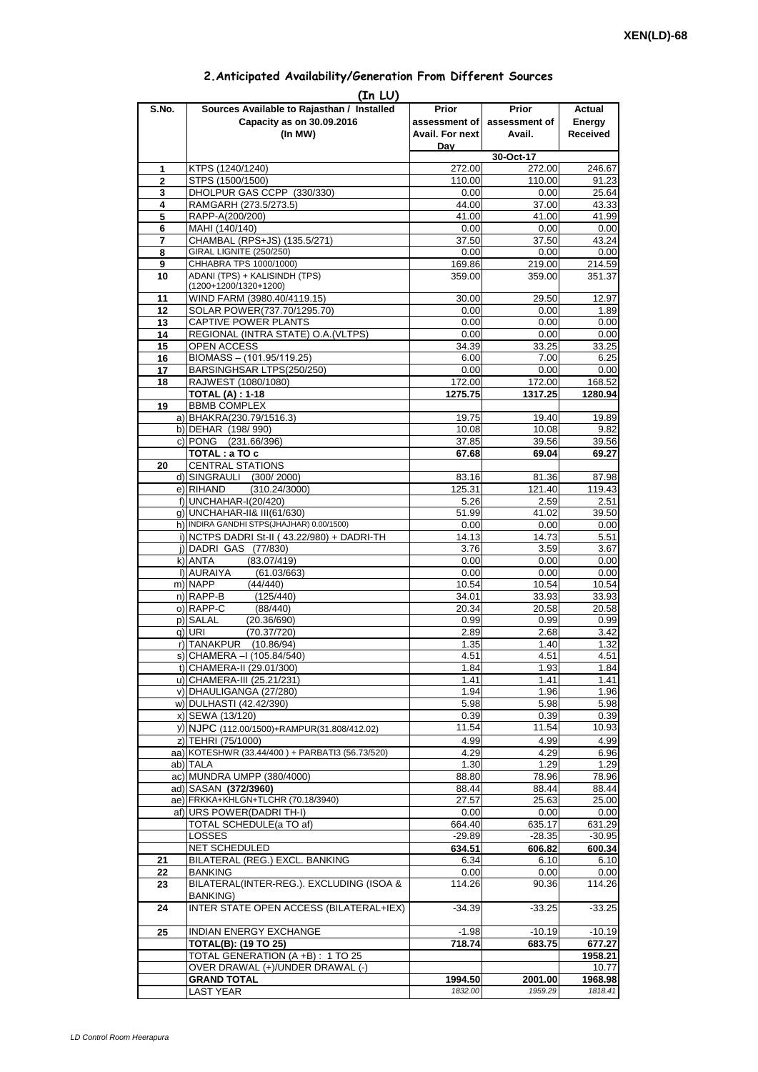| 2. Anticipated Availability/Generation From Different Sources |  |  |  |
|---------------------------------------------------------------|--|--|--|
|                                                               |  |  |  |

| S.No.               | (In LU)<br>Sources Available to Rajasthan / Installed                                    | Prior              | <b>Prior</b>       | Actual             |
|---------------------|------------------------------------------------------------------------------------------|--------------------|--------------------|--------------------|
|                     | Capacity as on 30.09.2016                                                                | assessment of      | assessment of      | Energy             |
|                     | (In MW)                                                                                  | Avail. For next    | Avail.             | Received           |
|                     |                                                                                          | Dav                |                    |                    |
|                     |                                                                                          |                    | 30-Oct-17          |                    |
| 1<br>$\overline{2}$ | KTPS (1240/1240)<br>STPS (1500/1500)                                                     | 272.00<br>110.00   | 272.00<br>110.00   | 246.67<br>91.23    |
| 3                   | DHOLPUR GAS CCPP (330/330)                                                               | 0.00               | 0.00               | 25.64              |
| 4                   | RAMGARH (273.5/273.5)                                                                    | 44.00              | 37.00              | 43.33              |
| 5                   | RAPP-A(200/200)                                                                          | 41.00              | 41.00              | 41.99              |
| 6                   | MAHI (140/140)                                                                           | 0.00               | 0.00               | 0.00               |
| $\overline{7}$<br>8 | CHAMBAL (RPS+JS) (135.5/271)<br><b>GIRAL LIGNITE (250/250)</b>                           | 37.50              | 37.50              | 43.24              |
| 9                   | CHHABRA TPS 1000/1000)                                                                   | 0.00<br>169.86     | 0.00<br>219.00     | 0.00<br>214.59     |
| 10                  | ADANI (TPS) + KALISINDH (TPS)                                                            | 359.00             | 359.00             | 351.37             |
|                     | (1200+1200/1320+1200)                                                                    |                    |                    |                    |
| 11                  | WIND FARM (3980.40/4119.15)                                                              | 30.00              | 29.50              | 12.97              |
| 12<br>13            | SOLAR POWER(737.70/1295.70)<br>CAPTIVE POWER PLANTS                                      | 0.00<br>0.00       | 0.00<br>0.00       | 1.89<br>0.00       |
| 14                  | REGIONAL (INTRA STATE) O.A. (VLTPS)                                                      | 0.00               | 0.00               | 0.00               |
| 15                  | OPEN ACCESS                                                                              | 34.39              | 33.25              | 33.25              |
| 16                  | BIOMASS - (101.95/119.25)                                                                | 6.00               | 7.00               | 6.25               |
| 17                  | BARSINGHSAR LTPS(250/250)                                                                | 0.00               | 0.00               | 0.00               |
| 18                  | RAJWEST (1080/1080)<br><b>TOTAL (A): 1-18</b>                                            | 172.00<br>1275.75  | 172.00<br>1317.25  | 168.52<br>1280.94  |
| 19                  | <b>BBMB COMPLEX</b>                                                                      |                    |                    |                    |
|                     | a) BHAKRA(230.79/1516.3)                                                                 | 19.75              | 19.40              | 19.89              |
|                     | b) DEHAR (198/990)                                                                       | 10.08              | 10.08              | 9.82               |
|                     | c) PONG (231.66/396)                                                                     | 37.85              | 39.56              | 39.56              |
| 20                  | TOTAL : a TO c<br><b>CENTRAL STATIONS</b>                                                | 67.68              | 69.04              | 69.27              |
|                     | d) SINGRAULI (300/2000)                                                                  | 83.16              | 81.36              | 87.98              |
|                     | e) RIHAND<br>(310.24/3000)                                                               | 125.31             | 121.40             | 119.43             |
|                     | f) UNCHAHAR-I(20/420)                                                                    | 5.26               | 2.59               | 2.51               |
|                     | q) UNCHAHAR-II& III(61/630)                                                              | 51.99              | 41.02              | 39.50              |
|                     | h) INDIRA GANDHI STPS(JHAJHAR) 0.00/1500)<br>i) NCTPS DADRI St-II (43.22/980) + DADRI-TH | 0.00               | 0.00<br>14.73      | 0.00<br>5.51       |
|                     | j) DADRI GAS (77/830)                                                                    | 14.13<br>3.76      | 3.59               | 3.67               |
|                     | k) ANTA<br>(83.07/419)                                                                   | 0.00               | 0.00               | 0.00               |
|                     | I) AURAIYA<br>(61.03/663)                                                                | 0.00               | 0.00               | 0.00               |
|                     | m) NAPP<br>(44/440)                                                                      | 10.54              | 10.54              | 10.54              |
|                     | n) RAPP-B<br>(125/440)<br>o) RAPP-C<br>(88/440)                                          | 34.01<br>20.34     | 33.93<br>20.58     | 33.93<br>20.58     |
|                     | p) SALAL<br>(20.36/690)                                                                  | 0.99               | 0.99               | 0.99               |
|                     | (70.37/720)<br>q) URI                                                                    | 2.89               | 2.68               | 3.42               |
|                     | r) TANAKPUR<br>(10.86/94)                                                                | 1.35               | 1.40               | 1.32               |
|                     | S) [CHAMERA –I (105.84/540)                                                              | 4.51               | 4.51               | 4.51               |
|                     | t) CHAMERA-II (29.01/300)<br>u) CHAMERA-III (25.21/231)                                  | 1.84<br>1.41       | 1.93<br>1.41       | 1.84<br>1.41       |
|                     | v) DHAULIGANGA (27/280)                                                                  | 1.94               | 1.96               | 1.96               |
|                     | w) DULHASTI (42.42/390)                                                                  | 5.98               | 5.98               | 5.98               |
|                     | x) SEWA (13/120)                                                                         | 0.39               | 0.39               | 0.39               |
|                     | y) NJPC (112.00/1500)+RAMPUR(31.808/412.02)                                              | 11.54              | 11.54              | 10.93              |
|                     | z) TEHRI (75/1000)<br>aa) KOTESHWR (33.44/400) + PARBATI3 (56.73/520)                    | 4.99               | 4.99               | 4.99               |
|                     | ab) TALA                                                                                 | 4.29<br>1.30       | 4.29<br>1.29       | 6.96<br>1.29       |
|                     | ac) MUNDRA UMPP (380/4000)                                                               | 88.80              | 78.96              | 78.96              |
|                     | ad) SASAN (372/3960)                                                                     | 88.44              | 88.44              | 88.44              |
|                     | ae) FRKKA+KHLGN+TLCHR (70.18/3940)                                                       | 27.57              | 25.63              | 25.00              |
|                     | af) URS POWER(DADRI TH-I)<br>TOTAL SCHEDULE(a TO af)                                     | 0.00               | 0.00               | 0.00               |
|                     | <b>LOSSES</b>                                                                            | 664.40<br>$-29.89$ | 635.17<br>$-28.35$ | 631.29<br>$-30.95$ |
|                     | NET SCHEDULED                                                                            | 634.51             | 606.82             | 600.34             |
| 21                  | BILATERAL (REG.) EXCL. BANKING                                                           | 6.34               | 6.10               | 6.10               |
| 22                  | <b>BANKING</b>                                                                           | 0.00               | 0.00               | 0.00               |
| 23                  | BILATERAL(INTER-REG.). EXCLUDING (ISOA &<br><b>BANKING</b> )                             | 114.26             | 90.36              | 114.26             |
| 24                  | INTER STATE OPEN ACCESS (BILATERAL+IEX)                                                  | $-34.39$           | $-33.25$           | $-33.25$           |
| 25                  | <b>INDIAN ENERGY EXCHANGE</b>                                                            |                    |                    |                    |
|                     | <b>TOTAL(B): (19 TO 25)</b>                                                              | $-1.98$<br>718.74  | $-10.19$<br>683.75 | $-10.19$<br>677.27 |
|                     | TOTAL GENERATION (A +B) : 1 TO 25                                                        |                    |                    | 1958.21            |
|                     | OVER DRAWAL (+)/UNDER DRAWAL (-)                                                         |                    |                    | 10.77              |
|                     | <b>GRAND TOTAL</b>                                                                       | 1994.50            | 2001.00            | 1968.98            |
|                     | <b>LAST YEAR</b>                                                                         | 1832.00            | 1959.29            | 1818.41            |